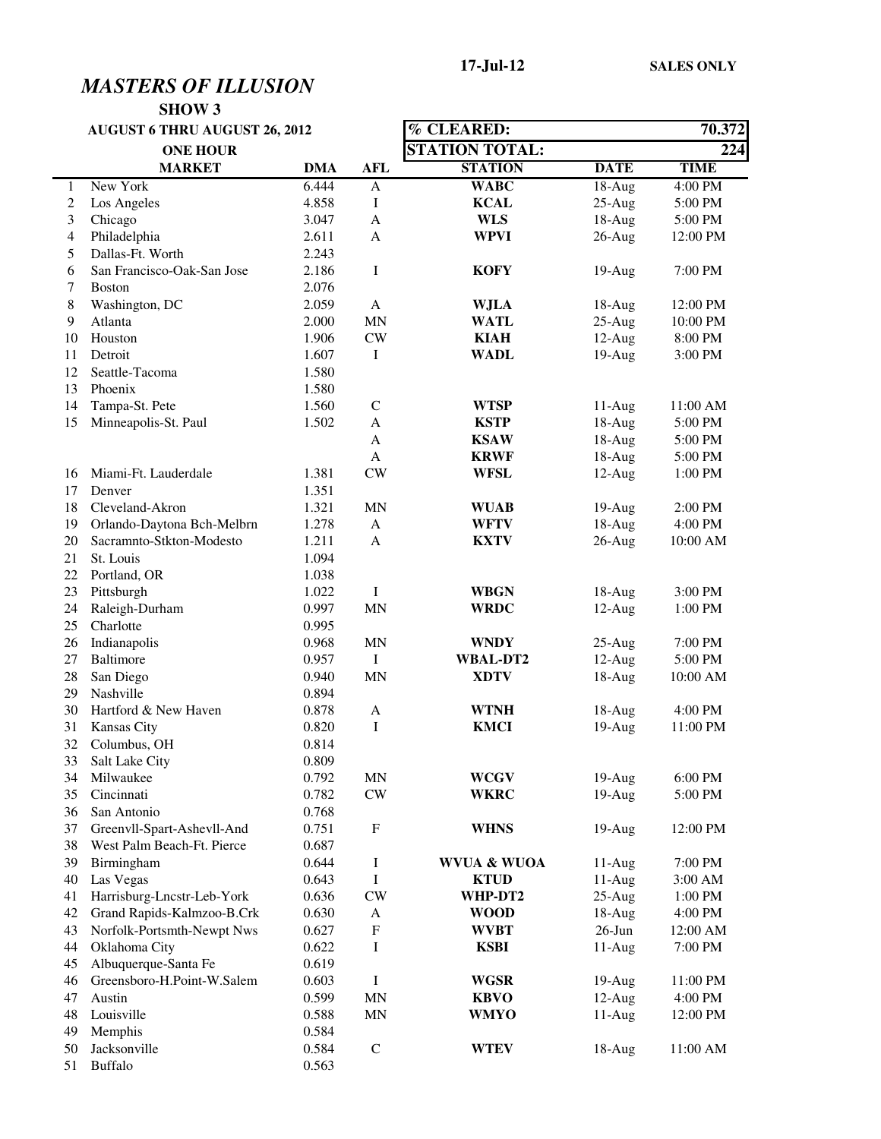|              | <b>AUGUST 6 THRU AUGUST 26, 2012</b> |            |                           | % CLEARED:             | 70.372      |                     |
|--------------|--------------------------------------|------------|---------------------------|------------------------|-------------|---------------------|
|              | <b>ONE HOUR</b>                      |            |                           | <b>STATION TOTAL:</b>  |             | 224                 |
|              | <b>MARKET</b>                        | <b>DMA</b> | <b>AFL</b>                | <b>STATION</b>         | <b>DATE</b> | <b>TIME</b>         |
| $\mathbf{1}$ | New York                             | 6.444      | $\mathbf{A}$              | <b>WABC</b>            | $18-Aug$    | 4:00 PM             |
| $\sqrt{2}$   | Los Angeles                          | 4.858      | Ι                         | <b>KCAL</b>            | $25-Aug$    | 5:00 PM             |
| 3            | Chicago                              | 3.047      | A                         | <b>WLS</b>             | 18-Aug      | 5:00 PM             |
| 4            | Philadelphia                         | 2.611      | A                         | <b>WPVI</b>            | $26$ -Aug   | 12:00 PM            |
| 5            | Dallas-Ft. Worth                     | 2.243      |                           |                        |             |                     |
| 6            | San Francisco-Oak-San Jose           | 2.186      | $\bf{I}$                  | <b>KOFY</b>            | $19-Aug$    | 7:00 PM             |
| 7            | <b>Boston</b>                        | 2.076      |                           |                        |             |                     |
| $8\,$        | Washington, DC                       | 2.059      | $\mathbf{A}$              | <b>WJLA</b>            | $18-Aug$    | 12:00 PM            |
| 9            | Atlanta                              | 2.000      | $\mbox{MN}$               | <b>WATL</b>            | $25-Aug$    | 10:00 PM            |
| 10           | Houston                              | 1.906      | $\mathrm{CW}$             | <b>KIAH</b>            | $12-Aug$    | 8:00 PM             |
| 11           | Detroit                              | 1.607      | $\rm I$                   | <b>WADL</b>            | $19-Aug$    | 3:00 PM             |
| 12           | Seattle-Tacoma                       | 1.580      |                           |                        |             |                     |
| 13           | Phoenix                              | 1.580      |                           |                        |             |                     |
| 14           | Tampa-St. Pete                       | 1.560      | ${\bf C}$                 | <b>WTSP</b>            | $11-Aug$    | 11:00 AM            |
| 15           | Minneapolis-St. Paul                 | 1.502      | A                         | <b>KSTP</b>            | 18-Aug      | 5:00 PM             |
|              |                                      |            | $\mathbf{A}$              | <b>KSAW</b>            | 18-Aug      | 5:00 PM             |
|              |                                      |            | A                         | <b>KRWF</b>            | $18-Aug$    | 5:00 PM             |
| 16           | Miami-Ft. Lauderdale                 | 1.381      | $\mathrm{CW}$             | <b>WFSL</b>            | $12-Aug$    | 1:00 PM             |
| 17           | Denver                               | 1.351      |                           |                        |             |                     |
| 18           | Cleveland-Akron                      | 1.321      | MN                        | <b>WUAB</b>            | 19-Aug      | 2:00 PM             |
| 19           | Orlando-Daytona Bch-Melbrn           | 1.278      | $\mathbf{A}$              | <b>WFTV</b>            | $18-Aug$    | 4:00 PM             |
| 20           | Sacramnto-Stkton-Modesto             | 1.211      | $\mathbf{A}$              | <b>KXTV</b>            | $26$ -Aug   | 10:00 AM            |
| 21           | St. Louis                            | 1.094      |                           |                        |             |                     |
| 22           | Portland, OR                         | 1.038      |                           |                        |             |                     |
| 23           | Pittsburgh                           | 1.022      | Ι                         | <b>WBGN</b>            | $18-Aug$    | 3:00 PM             |
| 24           | Raleigh-Durham                       | 0.997      | <b>MN</b>                 | <b>WRDC</b>            | $12-Aug$    | 1:00 PM             |
| 25           | Charlotte                            | 0.995      |                           |                        |             |                     |
| 26           | Indianapolis                         | 0.968      | MN                        | <b>WNDY</b>            | $25-Aug$    | 7:00 PM             |
| 27           | Baltimore                            | 0.957      | Ι                         | WBAL-DT2               | $12-Aug$    | 5:00 PM             |
| 28           | San Diego                            | 0.940      | <b>MN</b>                 | <b>XDTV</b>            | $18-Aug$    | 10:00 AM            |
| 29           | Nashville                            | 0.894      |                           |                        |             |                     |
| 30           | Hartford & New Haven                 | 0.878      | $\mathbf{A}$              | <b>WTNH</b>            | 18-Aug      | 4:00 PM             |
| 31           | Kansas City                          | 0.820      | I                         | <b>KMCI</b>            | $19-Aug$    | 11:00 PM            |
| 32           | Columbus, OH                         | 0.814      |                           |                        |             |                     |
| 33           | Salt Lake City                       | 0.809      |                           |                        |             |                     |
| 34           | Milwaukee                            | 0.792      | $\mbox{MN}$               | <b>WCGV</b>            | $19-Aug$    | 6:00 PM             |
| 35           | Cincinnati                           | 0.782      | CW                        | <b>WKRC</b>            | $19-Aug$    | 5:00 PM             |
| 36           | San Antonio                          | 0.768      |                           |                        |             |                     |
| 37           | Greenvll-Spart-Ashevll-And           | 0.751      | $\boldsymbol{\mathrm{F}}$ | <b>WHNS</b>            | $19-Aug$    | 12:00 PM            |
| 38           | West Palm Beach-Ft. Pierce           | 0.687      |                           |                        |             |                     |
| 39           | Birmingham                           | 0.644      | I                         | <b>WVUA &amp; WUOA</b> | $11-Aug$    | 7:00 PM             |
| 40           | Las Vegas                            | 0.643      | $\bf{I}$                  | <b>KTUD</b>            | $11-Aug$    | 3:00 AM             |
| 41           | Harrisburg-Lncstr-Leb-York           | 0.636      | $\mathrm{CW}$             | WHP-DT2                | $25-Aug$    | $1:00\ \mathrm{PM}$ |
| 42           | Grand Rapids-Kalmzoo-B.Crk           | 0.630      | A                         | <b>WOOD</b>            | 18-Aug      | $4:00\;{\rm PM}$    |
| 43           | Norfolk-Portsmth-Newpt Nws           | 0.627      | ${\bf F}$                 | <b>WVBT</b>            | $26$ -Jun   | 12:00 AM            |
| 44           | Oklahoma City                        | 0.622      | Ι                         | <b>KSBI</b>            | $11-Aug$    | 7:00 PM             |
| 45           | Albuquerque-Santa Fe                 | 0.619      |                           |                        |             |                     |
| 46           | Greensboro-H.Point-W.Salem           | 0.603      | Ι                         | <b>WGSR</b>            | $19-Aug$    | 11:00 PM            |
| 47           | Austin                               | 0.599      | $\mbox{MN}$               | <b>KBVO</b>            | $12-Aug$    | 4:00 PM             |
| 48           | Louisville                           | 0.588      | <b>MN</b>                 | WMYO                   | $11-Aug$    | 12:00 PM            |
| 49           | Memphis                              | 0.584      |                           |                        |             |                     |
| 50           | Jacksonville                         | 0.584      | ${\bf C}$                 | <b>WTEV</b>            | $18-Aug$    | 11:00 AM            |
| 51           | Buffalo                              | 0.563      |                           |                        |             |                     |
|              |                                      |            |                           |                        |             |                     |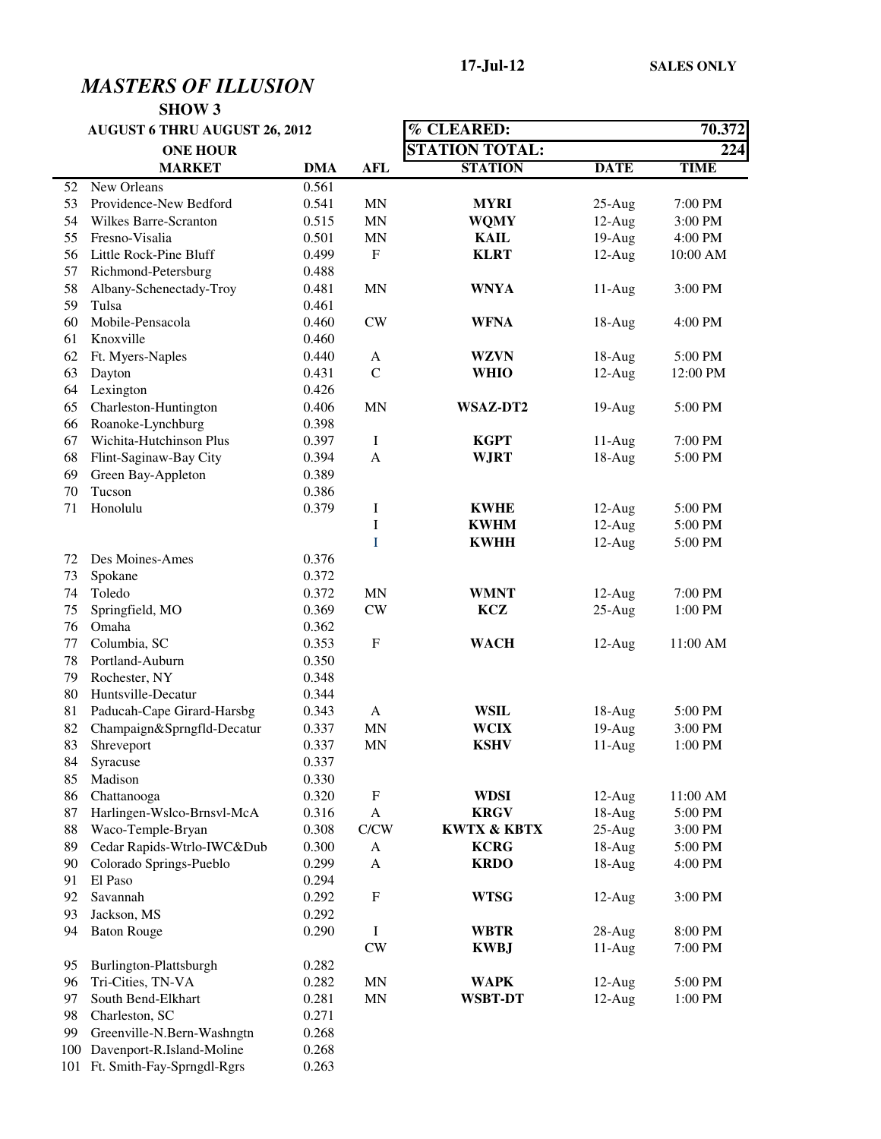|    | <b>AUGUST 6 THRU AUGUST 26, 2012</b> |            |               | <b>% CLEARED:</b>      | 70.372      |             |
|----|--------------------------------------|------------|---------------|------------------------|-------------|-------------|
|    | <b>ONE HOUR</b>                      |            |               | <b>STATION TOTAL:</b>  |             | 224         |
|    | <b>MARKET</b>                        | <b>DMA</b> | <b>AFL</b>    | <b>STATION</b>         | <b>DATE</b> | <b>TIME</b> |
| 52 | New Orleans                          | 0.561      |               |                        |             |             |
| 53 | Providence-New Bedford               | 0.541      | <b>MN</b>     | MYRI                   | $25-Aug$    | 7:00 PM     |
| 54 | Wilkes Barre-Scranton                | 0.515      | <b>MN</b>     | <b>WQMY</b>            | $12-Aug$    | 3:00 PM     |
| 55 | Fresno-Visalia                       | 0.501      | <b>MN</b>     | <b>KAIL</b>            | $19-Aug$    | 4:00 PM     |
| 56 | Little Rock-Pine Bluff               | 0.499      | $\mathbf F$   | <b>KLRT</b>            | $12-Aug$    | 10:00 AM    |
| 57 | Richmond-Petersburg                  | 0.488      |               |                        |             |             |
| 58 | Albany-Schenectady-Troy              | 0.481      | <b>MN</b>     | <b>WNYA</b>            | $11-Aug$    | 3:00 PM     |
| 59 | Tulsa                                | 0.461      |               |                        |             |             |
| 60 | Mobile-Pensacola                     | 0.460      | CW            | <b>WFNA</b>            | $18-Aug$    | 4:00 PM     |
| 61 | Knoxville                            | 0.460      |               |                        |             |             |
| 62 | Ft. Myers-Naples                     | 0.440      | A             | <b>WZVN</b>            | $18-Aug$    | 5:00 PM     |
| 63 | Dayton                               | 0.431      | $\mathbf C$   | <b>WHIO</b>            | $12-Aug$    | 12:00 PM    |
| 64 | Lexington                            | 0.426      |               |                        |             |             |
| 65 | Charleston-Huntington                | 0.406      | <b>MN</b>     | <b>WSAZ-DT2</b>        | 19-Aug      | 5:00 PM     |
| 66 | Roanoke-Lynchburg                    | 0.398      |               |                        |             |             |
| 67 | Wichita-Hutchinson Plus              | 0.397      | $\bf I$       | <b>KGPT</b>            | $11-Aug$    | 7:00 PM     |
| 68 | Flint-Saginaw-Bay City               | 0.394      | $\mathbf{A}$  | <b>WJRT</b>            | $18-Aug$    | 5:00 PM     |
| 69 | Green Bay-Appleton                   | 0.389      |               |                        |             |             |
| 70 | Tucson                               | 0.386      |               |                        |             |             |
| 71 | Honolulu                             | 0.379      | Ι             | <b>KWHE</b>            | $12-Aug$    | 5:00 PM     |
|    |                                      |            | $\rm I$       | <b>KWHM</b>            | $12-Aug$    | 5:00 PM     |
|    |                                      |            | Ι             | <b>KWHH</b>            | $12-Aug$    | 5:00 PM     |
| 72 | Des Moines-Ames                      | 0.376      |               |                        |             |             |
| 73 | Spokane                              | 0.372      |               |                        |             |             |
| 74 | Toledo                               | 0.372      | <b>MN</b>     | <b>WMNT</b>            | $12-Aug$    | 7:00 PM     |
| 75 | Springfield, MO                      | 0.369      | CW            | KCZ                    | $25-Aug$    | 1:00 PM     |
| 76 | Omaha                                | 0.362      |               |                        |             |             |
| 77 | Columbia, SC                         | 0.353      | $\mathbf F$   | <b>WACH</b>            | $12-Aug$    | 11:00 AM    |
| 78 | Portland-Auburn                      | 0.350      |               |                        |             |             |
| 79 | Rochester, NY                        | 0.348      |               |                        |             |             |
| 80 | Huntsville-Decatur                   | 0.344      |               |                        |             |             |
| 81 | Paducah-Cape Girard-Harsbg           | 0.343      | $\mathbf{A}$  | <b>WSIL</b>            | $18-Aug$    | 5:00 PM     |
| 82 | Champaign&Sprngfld-Decatur           | 0.337      | <b>MN</b>     | <b>WCIX</b>            | $19-Aug$    | 3:00 PM     |
| 83 | Shreveport                           | 0.337      | <b>MN</b>     | <b>KSHV</b>            | $11-Aug$    | 1:00 PM     |
| 84 | Syracuse                             | 0.337      |               |                        |             |             |
| 85 | Madison                              | 0.330      |               |                        |             |             |
| 86 | Chattanooga                          | 0.320      | $\mathbf F$   | <b>WDSI</b>            | $12-Aug$    | 11:00 AM    |
| 87 | Harlingen-Wslco-Brnsvl-McA           | 0.316      | $\mathbf{A}$  | <b>KRGV</b>            | 18-Aug      | 5:00 PM     |
| 88 | Waco-Temple-Bryan                    | 0.308      | C/CW          | <b>KWTX &amp; KBTX</b> | $25-Aug$    | 3:00 PM     |
| 89 | Cedar Rapids-Wtrlo-IWC&Dub           | 0.300      | A             | <b>KCRG</b>            | $18-Aug$    | 5:00 PM     |
| 90 | Colorado Springs-Pueblo              | 0.299      | $\mathbf{A}$  | <b>KRDO</b>            | 18-Aug      | 4:00 PM     |
| 91 | El Paso                              | 0.294      |               |                        |             |             |
| 92 | Savannah                             | 0.292      | F             | <b>WTSG</b>            | $12-Aug$    | 3:00 PM     |
| 93 | Jackson, MS                          | 0.292      |               |                        |             |             |
| 94 | <b>Baton Rouge</b>                   | 0.290      | $\bf{I}$      | <b>WBTR</b>            | $28-Aug$    | 8:00 PM     |
|    |                                      |            | $\mathrm{CW}$ | <b>KWBJ</b>            | $11-Aug$    | 7:00 PM     |
| 95 | Burlington-Plattsburgh               | 0.282      |               |                        |             |             |
| 96 | Tri-Cities, TN-VA                    | 0.282      | <b>MN</b>     | <b>WAPK</b>            | $12-Aug$    | 5:00 PM     |
| 97 | South Bend-Elkhart                   | 0.281      | <b>MN</b>     | <b>WSBT-DT</b>         | $12-Aug$    | 1:00 PM     |
| 98 | Charleston, SC                       | 0.271      |               |                        |             |             |
| 99 | Greenville-N.Bern-Washngtn           | 0.268      |               |                        |             |             |
|    | 100 Davenport-R.Island-Moline        | 0.268      |               |                        |             |             |
|    | 101 Ft. Smith-Fay-Sprngdl-Rgrs       | 0.263      |               |                        |             |             |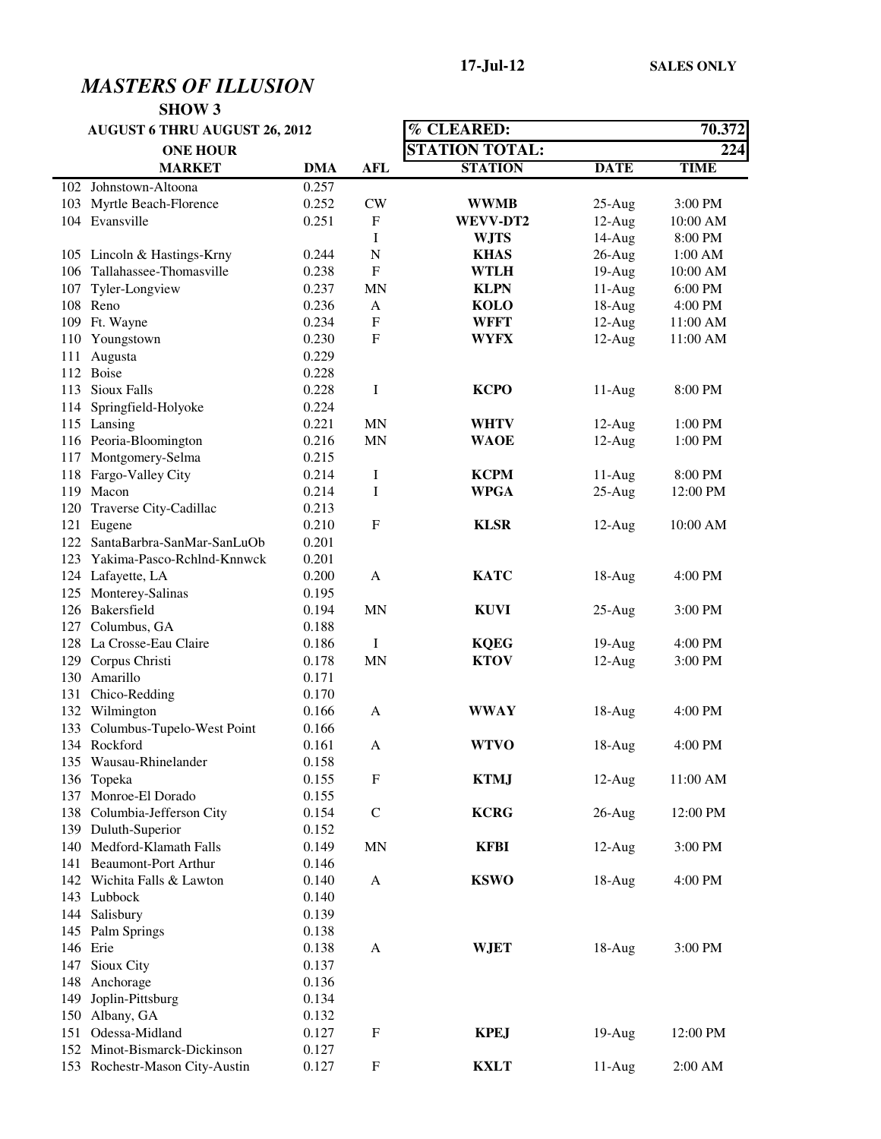| <b>AUGUST 6 THRU AUGUST 26, 2012</b> |                                |            |                           | % CLEARED:            | 70.372      |             |
|--------------------------------------|--------------------------------|------------|---------------------------|-----------------------|-------------|-------------|
|                                      | <b>ONE HOUR</b>                |            |                           | <b>STATION TOTAL:</b> |             | 224         |
|                                      | <b>MARKET</b>                  | <b>DMA</b> | <b>AFL</b>                | <b>STATION</b>        | <b>DATE</b> | <b>TIME</b> |
|                                      | 102 Johnstown-Altoona          | 0.257      |                           |                       |             |             |
|                                      | 103 Myrtle Beach-Florence      | 0.252      | <b>CW</b>                 | <b>WWMB</b>           | $25-Aug$    | 3:00 PM     |
|                                      | 104 Evansville                 | 0.251      | F                         | WEVV-DT2              | $12-Aug$    | 10:00 AM    |
|                                      |                                |            | I                         | <b>WJTS</b>           | 14-Aug      | 8:00 PM     |
|                                      | 105 Lincoln & Hastings-Krny    | 0.244      | N                         | <b>KHAS</b>           | $26$ -Aug   | 1:00 AM     |
|                                      | 106 Tallahassee-Thomasville    | 0.238      | F                         | <b>WTLH</b>           | $19-Aug$    | 10:00 AM    |
| 107                                  | Tyler-Longview                 | 0.237      | MN                        | <b>KLPN</b>           | $11-Aug$    | 6:00 PM     |
|                                      | 108 Reno                       | 0.236      | A                         | <b>KOLO</b>           | $18-Aug$    | 4:00 PM     |
|                                      | 109 Ft. Wayne                  | 0.234      | $\boldsymbol{\mathrm{F}}$ | <b>WFFT</b>           | $12-Aug$    | 11:00 AM    |
|                                      | 110 Youngstown                 | 0.230      | $\mathbf{F}$              | <b>WYFX</b>           | $12-Aug$    | 11:00 AM    |
|                                      | 111 Augusta                    | 0.229      |                           |                       |             |             |
|                                      | 112 Boise                      | 0.228      |                           |                       |             |             |
|                                      | 113 Sioux Falls                | 0.228      | Ι                         | <b>KCPO</b>           | $11-Aug$    | 8:00 PM     |
| 114                                  | Springfield-Holyoke            | 0.224      |                           |                       |             |             |
|                                      | 115 Lansing                    | 0.221      | <b>MN</b>                 | <b>WHTV</b>           | $12-Aug$    | $1:00$ PM   |
|                                      | 116 Peoria-Bloomington         | 0.216      | <b>MN</b>                 | <b>WAOE</b>           | $12-Aug$    | 1:00 PM     |
|                                      | 117 Montgomery-Selma           | 0.215      |                           |                       |             |             |
|                                      | 118 Fargo-Valley City          | 0.214      | I                         | <b>KCPM</b>           | $11-Aug$    | 8:00 PM     |
|                                      | 119 Macon                      | 0.214      | $\mathbf I$               | <b>WPGA</b>           | $25-Aug$    | 12:00 PM    |
|                                      | 120 Traverse City-Cadillac     | 0.213      |                           |                       |             |             |
|                                      | 121 Eugene                     | 0.210      | $\rm F$                   | <b>KLSR</b>           | $12$ -Aug   | 10:00 AM    |
|                                      | 122 SantaBarbra-SanMar-SanLuOb | 0.201      |                           |                       |             |             |
|                                      | 123 Yakima-Pasco-Rchlnd-Knnwck | 0.201      |                           |                       |             |             |
|                                      | 124 Lafayette, LA              | 0.200      | A                         | <b>KATC</b>           | $18-Aug$    | 4:00 PM     |
|                                      | 125 Monterey-Salinas           | 0.195      |                           |                       |             |             |
|                                      | 126 Bakersfield                | 0.194      | <b>MN</b>                 | <b>KUVI</b>           | $25-Aug$    | 3:00 PM     |
|                                      | 127 Columbus, GA               | 0.188      |                           |                       |             |             |
|                                      | 128 La Crosse-Eau Claire       | 0.186      | Ι                         | <b>KQEG</b>           | $19-Aug$    | 4:00 PM     |
|                                      | 129 Corpus Christi             | 0.178      | <b>MN</b>                 | <b>KTOV</b>           | $12-Aug$    | 3:00 PM     |
|                                      | 130 Amarillo                   | 0.171      |                           |                       |             |             |
|                                      | 131 Chico-Redding              | 0.170      |                           |                       |             |             |
|                                      | 132 Wilmington                 | 0.166      | A                         | <b>WWAY</b>           | $18-Aug$    | 4:00 PM     |
|                                      | 133 Columbus-Tupelo-West Point | 0.166      |                           |                       |             |             |
|                                      | 134 Rockford                   | 0.161      | A                         | <b>WTVO</b>           | $18-Aug$    | 4:00 PM     |
|                                      | 135 Wausau-Rhinelander         | 0.158      |                           |                       |             |             |
|                                      | 136 Topeka                     | 0.155      | F                         | <b>KTMJ</b>           | $12-Aug$    | 11:00 AM    |
|                                      | 137 Monroe-El Dorado           | 0.155      |                           |                       |             |             |
|                                      | 138 Columbia-Jefferson City    | 0.154      | $\mathsf{C}$              | <b>KCRG</b>           | $26$ -Aug   | 12:00 PM    |
|                                      | 139 Duluth-Superior            | 0.152      |                           |                       |             |             |
|                                      | 140 Medford-Klamath Falls      | 0.149      | MN                        | <b>KFBI</b>           | $12-Aug$    | 3:00 PM     |
|                                      | 141 Beaumont-Port Arthur       | 0.146      |                           |                       |             |             |
|                                      | 142 Wichita Falls & Lawton     | 0.140      | A                         | <b>KSWO</b>           | $18-Aug$    | 4:00 PM     |
|                                      | 143 Lubbock                    | 0.140      |                           |                       |             |             |
|                                      | 144 Salisbury                  | 0.139      |                           |                       |             |             |
|                                      | 145 Palm Springs               | 0.138      |                           |                       |             |             |
|                                      | 146 Erie                       | 0.138      | A                         | <b>WJET</b>           | $18-Aug$    | 3:00 PM     |
|                                      | 147 Sioux City                 | 0.137      |                           |                       |             |             |
|                                      | 148 Anchorage                  | 0.136      |                           |                       |             |             |
|                                      | 149 Joplin-Pittsburg           | 0.134      |                           |                       |             |             |
|                                      | 150 Albany, GA                 | 0.132      |                           |                       |             |             |
|                                      | 151 Odessa-Midland             | 0.127      | F                         | <b>KPEJ</b>           | $19-Aug$    | 12:00 PM    |
|                                      | 152 Minot-Bismarck-Dickinson   | 0.127      |                           |                       |             |             |
|                                      | 153 Rochestr-Mason City-Austin | 0.127      | $\mathbf F$               | <b>KXLT</b>           | 11-Aug      | 2:00 AM     |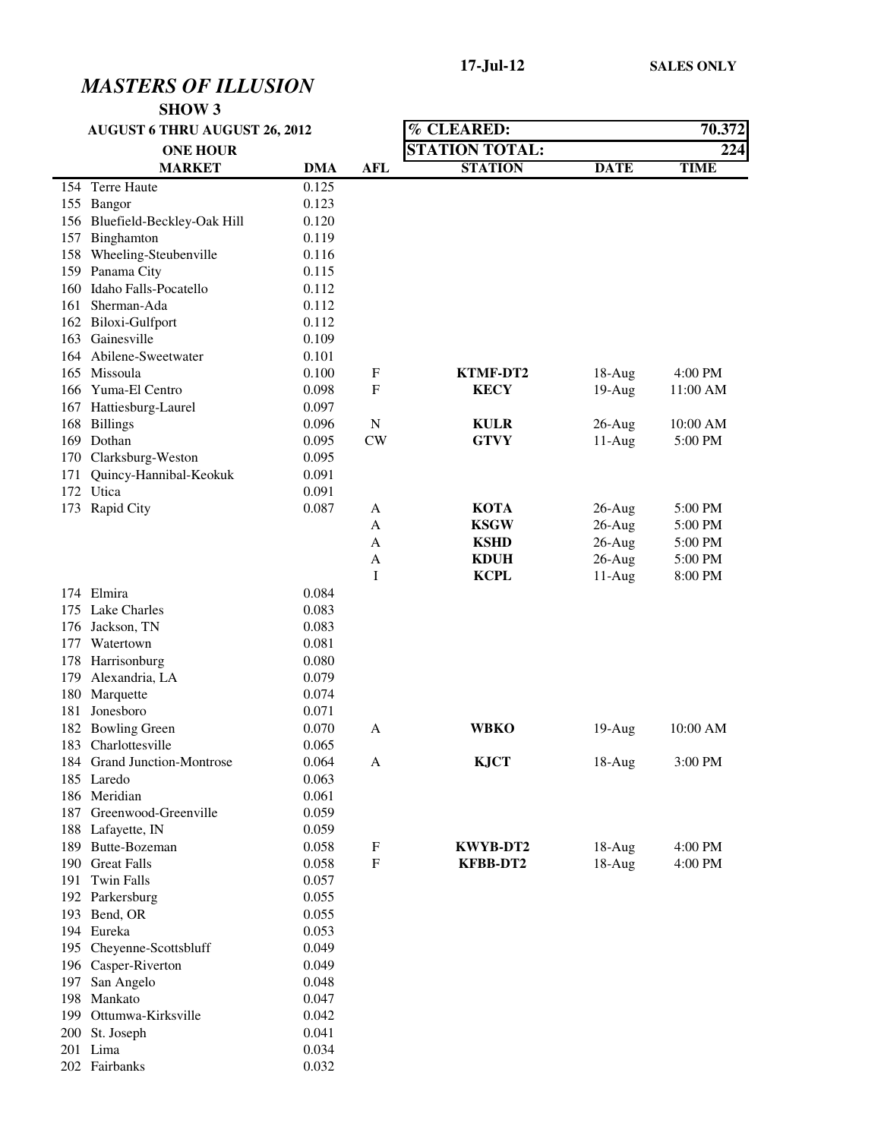| <b>AUGUST 6 THRU AUGUST 26, 2012</b> |                                |            |                           | % CLEARED:            |             | 70.372      |
|--------------------------------------|--------------------------------|------------|---------------------------|-----------------------|-------------|-------------|
|                                      | <b>ONE HOUR</b>                |            |                           | <b>STATION TOTAL:</b> |             | 224         |
|                                      | <b>MARKET</b>                  | <b>DMA</b> | <b>AFL</b>                | <b>STATION</b>        | <b>DATE</b> | <b>TIME</b> |
|                                      | 154 Terre Haute                | 0.125      |                           |                       |             |             |
|                                      | 155 Bangor                     | 0.123      |                           |                       |             |             |
|                                      | 156 Bluefield-Beckley-Oak Hill | 0.120      |                           |                       |             |             |
|                                      | 157 Binghamton                 | 0.119      |                           |                       |             |             |
|                                      | 158 Wheeling-Steubenville      | 0.116      |                           |                       |             |             |
|                                      | 159 Panama City                | 0.115      |                           |                       |             |             |
|                                      | 160 Idaho Falls-Pocatello      | 0.112      |                           |                       |             |             |
| 161                                  | Sherman-Ada                    | 0.112      |                           |                       |             |             |
|                                      | 162 Biloxi-Gulfport            | 0.112      |                           |                       |             |             |
|                                      | 163 Gainesville                | 0.109      |                           |                       |             |             |
|                                      | 164 Abilene-Sweetwater         | 0.101      |                           |                       |             |             |
|                                      | 165 Missoula                   | 0.100      | F                         | <b>KTMF-DT2</b>       | $18-Aug$    | 4:00 PM     |
|                                      | 166 Yuma-El Centro             | 0.098      | F                         | <b>KECY</b>           | $19-Aug$    | 11:00 AM    |
| 167                                  | Hattiesburg-Laurel             | 0.097      |                           |                       |             |             |
| 168                                  | <b>Billings</b>                | 0.096      | N                         | <b>KULR</b>           | $26$ -Aug   | 10:00 AM    |
|                                      | 169 Dothan                     | 0.095      | CW                        | <b>GTVY</b>           | $11-Aug$    | 5:00 PM     |
| 170                                  | Clarksburg-Weston              | 0.095      |                           |                       |             |             |
| 171                                  | Quincy-Hannibal-Keokuk         | 0.091      |                           |                       |             |             |
|                                      | 172 Utica                      | 0.091      |                           |                       |             |             |
|                                      | 173 Rapid City                 | 0.087      | A                         | <b>KOTA</b>           | $26$ -Aug   | 5:00 PM     |
|                                      |                                |            | A                         | <b>KSGW</b>           | $26$ -Aug   | 5:00 PM     |
|                                      |                                |            | A                         | <b>KSHD</b>           | $26$ -Aug   | 5:00 PM     |
|                                      |                                |            | A                         | <b>KDUH</b>           | $26$ -Aug   | 5:00 PM     |
|                                      |                                |            | I                         | <b>KCPL</b>           | $11-Aug$    | 8:00 PM     |
|                                      | 174 Elmira                     | 0.084      |                           |                       |             |             |
|                                      | 175 Lake Charles               | 0.083      |                           |                       |             |             |
|                                      | 176 Jackson, TN                | 0.083      |                           |                       |             |             |
|                                      | 177 Watertown                  | 0.081      |                           |                       |             |             |
|                                      | 178 Harrisonburg               | 0.080      |                           |                       |             |             |
| 179                                  | Alexandria, LA                 | 0.079      |                           |                       |             |             |
| 180                                  | Marquette                      | 0.074      |                           |                       |             |             |
|                                      | 181 Jonesboro                  | 0.071      |                           |                       |             |             |
|                                      | 182 Bowling Green              | 0.070      | A                         | WBKO                  | $19-Aug$    | 10:00 AM    |
|                                      | 183 Charlottesville            | 0.065      |                           |                       |             |             |
|                                      | 184 Grand Junction-Montrose    | 0.064      | A                         | <b>KJCT</b>           | 18-Aug      | 3:00 PM     |
|                                      | 185 Laredo                     | 0.063      |                           |                       |             |             |
|                                      | 186 Meridian                   | 0.061      |                           |                       |             |             |
|                                      | 187 Greenwood-Greenville       | 0.059      |                           |                       |             |             |
|                                      | 188 Lafayette, IN              | 0.059      |                           |                       |             |             |
|                                      | 189 Butte-Bozeman              | 0.058      | F                         | KWYB-DT2              | $18-Aug$    | 4:00 PM     |
|                                      | 190 Great Falls                | 0.058      | $\boldsymbol{\mathrm{F}}$ | <b>KFBB-DT2</b>       | $18-Aug$    | 4:00 PM     |
|                                      | 191 Twin Falls                 | 0.057      |                           |                       |             |             |
|                                      | 192 Parkersburg                | 0.055      |                           |                       |             |             |
|                                      | 193 Bend, OR                   | 0.055      |                           |                       |             |             |
|                                      | 194 Eureka                     | 0.053      |                           |                       |             |             |
|                                      | 195 Cheyenne-Scottsbluff       | 0.049      |                           |                       |             |             |
|                                      | 196 Casper-Riverton            | 0.049      |                           |                       |             |             |
|                                      | 197 San Angelo                 | 0.048      |                           |                       |             |             |
|                                      | 198 Mankato                    | 0.047      |                           |                       |             |             |
|                                      | 199 Ottumwa-Kirksville         | 0.042      |                           |                       |             |             |
|                                      | 200 St. Joseph                 | 0.041      |                           |                       |             |             |
|                                      | 201 Lima                       | 0.034      |                           |                       |             |             |
|                                      | 202 Fairbanks                  | 0.032      |                           |                       |             |             |